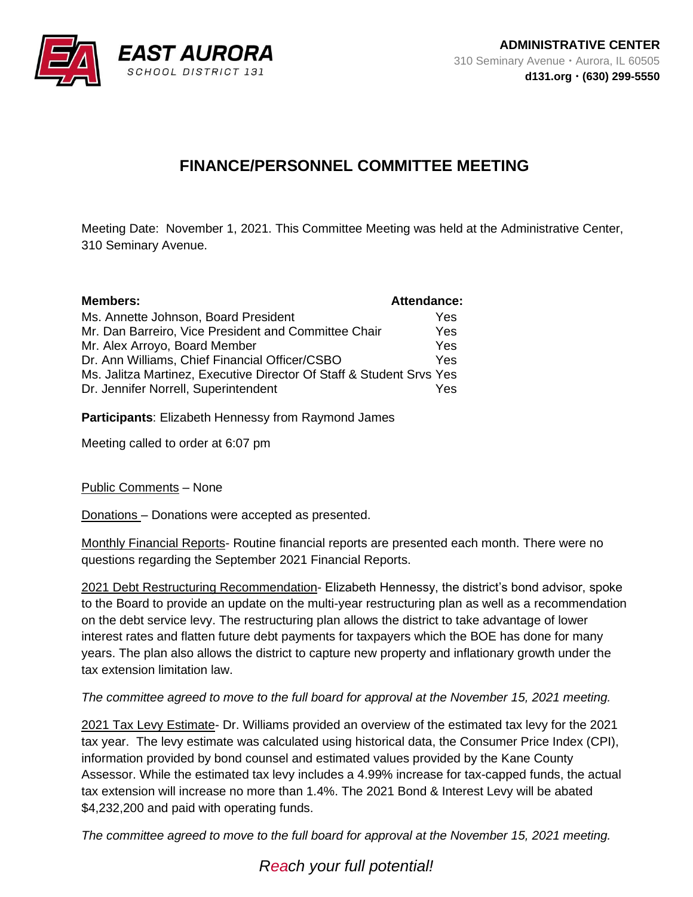

## **FINANCE/PERSONNEL COMMITTEE MEETING**

Meeting Date: November 1, 2021. This Committee Meeting was held at the Administrative Center, 310 Seminary Avenue.

| <b>Members:</b>                                                      | <b>Attendance:</b> |
|----------------------------------------------------------------------|--------------------|
| Ms. Annette Johnson, Board President                                 | Yes                |
| Mr. Dan Barreiro, Vice President and Committee Chair                 | Yes                |
| Mr. Alex Arroyo, Board Member                                        | Yes                |
| Dr. Ann Williams, Chief Financial Officer/CSBO                       | Yes                |
| Ms. Jalitza Martinez, Executive Director Of Staff & Student Srvs Yes |                    |
| Dr. Jennifer Norrell, Superintendent                                 | Yes                |

**Participants**: Elizabeth Hennessy from Raymond James

Meeting called to order at 6:07 pm

Public Comments – None

Donations – Donations were accepted as presented.

Monthly Financial Reports- Routine financial reports are presented each month. There were no questions regarding the September 2021 Financial Reports.

2021 Debt Restructuring Recommendation- Elizabeth Hennessy, the district's bond advisor, spoke to the Board to provide an update on the multi-year restructuring plan as well as a recommendation on the debt service levy. The restructuring plan allows the district to take advantage of lower interest rates and flatten future debt payments for taxpayers which the BOE has done for many years. The plan also allows the district to capture new property and inflationary growth under the tax extension limitation law.

*The committee agreed to move to the full board for approval at the November 15, 2021 meeting.*

2021 Tax Levy Estimate- Dr. Williams provided an overview of the estimated tax levy for the 2021 tax year. The levy estimate was calculated using historical data, the Consumer Price Index (CPI), information provided by bond counsel and estimated values provided by the Kane County Assessor. While the estimated tax levy includes a 4.99% increase for tax-capped funds, the actual tax extension will increase no more than 1.4%. The 2021 Bond & Interest Levy will be abated \$4,232,200 and paid with operating funds.

*The committee agreed to move to the full board for approval at the November 15, 2021 meeting.*

*Reach your full potential!*